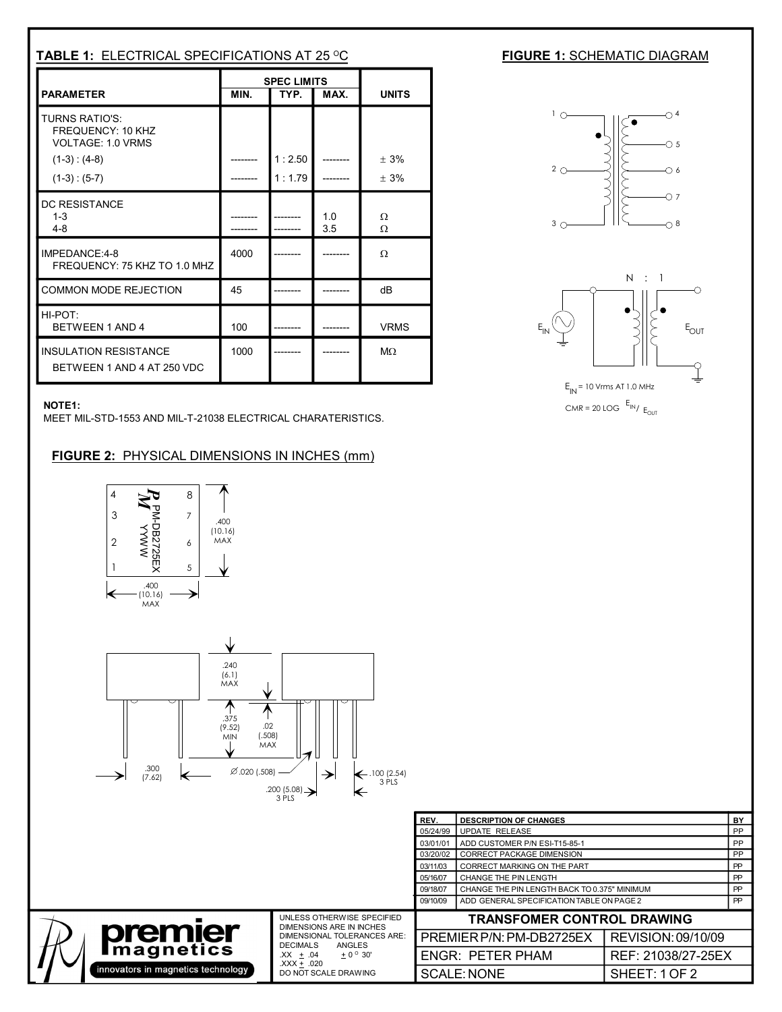| <b>TABLE 1: ELECTRICAL SPECIFICATIONS AT 25 °C</b>                            |      |                            |            |               |
|-------------------------------------------------------------------------------|------|----------------------------|------------|---------------|
| <b>PARAMETER</b>                                                              | MIN. | <b>SPEC LIMITS</b><br>TYP. | MAX.       | <b>UNITS</b>  |
| <b>TURNS RATIO'S:</b><br><b>FREQUENCY: 10 KHZ</b><br><b>VOLTAGE: 1.0 VRMS</b> |      |                            |            |               |
| $(1-3) : (4-8)$<br>$(1-3):(5-7)$                                              |      | 1:2.50<br>1:1.79           |            | ± 3%<br>$+3%$ |
| DC RESISTANCE<br>$1 - 3$<br>$4 - 8$                                           |      |                            | 1.0<br>3.5 | Ω<br>Ω        |
| IMPEDANCE:4-8<br>FREQUENCY: 75 KHZ TO 1.0 MHZ                                 | 4000 |                            |            | Ω             |
| <b>COMMON MODE REJECTION</b>                                                  | 45   |                            |            | dB            |
| $HI-POT$<br>BETWEEN 1 AND 4                                                   | 100  |                            |            | <b>VRMS</b>   |
| <b>INSULATION RESISTANCE</b><br>BETWEEN 1 AND 4 AT 250 VDC                    | 1000 |                            |            | $M\Omega$     |

## **NOTE1:**

MEET MIL-STD-1553 AND MIL-T-21038 ELECTRICAL CHARATERISTICS.

## **FIGURE 2:** PHYSICAL DIMENSIONS IN INCHES (mm)





## **FIGURE 1: SCHEMATIC DIAGRAM**





|                                                      | 3 PLS<br>.                                                                                                                                                                                         |                                   |                                              |                    |           |
|------------------------------------------------------|----------------------------------------------------------------------------------------------------------------------------------------------------------------------------------------------------|-----------------------------------|----------------------------------------------|--------------------|-----------|
|                                                      |                                                                                                                                                                                                    | REV.                              | <b>DESCRIPTION OF CHANGES</b>                |                    | BY        |
|                                                      |                                                                                                                                                                                                    | 05/24/99                          | UPDATE RELEASE                               |                    |           |
|                                                      |                                                                                                                                                                                                    | 03/01/01                          | ADD CUSTOMER P/N ESI-T15-85-1                |                    |           |
|                                                      |                                                                                                                                                                                                    | 03/20/02                          | CORRECT PACKAGE DIMENSION                    |                    |           |
|                                                      |                                                                                                                                                                                                    | 03/11/03                          | <b>CORRECT MARKING ON THE PART</b>           |                    |           |
|                                                      |                                                                                                                                                                                                    | 05/16/07                          | <b>CHANGE THE PIN LENGTH</b>                 | PP                 |           |
|                                                      |                                                                                                                                                                                                    | 09/18/07                          | CHANGE THE PIN LENGTH BACK TO 0.375" MINIMUM |                    | <b>PP</b> |
|                                                      |                                                                                                                                                                                                    | 09/10/09                          | ADD GENERAL SPECIFICATION TABLE ON PAGE 2    |                    | <b>PP</b> |
| <b>premier</b><br>innovators in magnetics technology | UNLESS OTHERWISE SPECIFIED<br>DIMENSIONS ARE IN INCHES<br><b>DIMENSIONAL TOLERANCES ARE:</b><br><b>DECIMALS</b><br>ANGLES<br>$+0^{\circ}30'$<br>$XX + .04$<br>$XXX + .020$<br>DO NOT SCALE DRAWING | <b>TRANSFOMER CONTROL DRAWING</b> |                                              |                    |           |
|                                                      |                                                                                                                                                                                                    | PREMIER P/N: PM-DB2725EX          |                                              | REVISION: 09/10/09 |           |
|                                                      |                                                                                                                                                                                                    |                                   | <b>ENGR: PETER PHAM</b>                      | REF: 21038/27-25EX |           |
|                                                      |                                                                                                                                                                                                    |                                   | <b>SCALE: NONE</b>                           | SHEET:1OF2         |           |